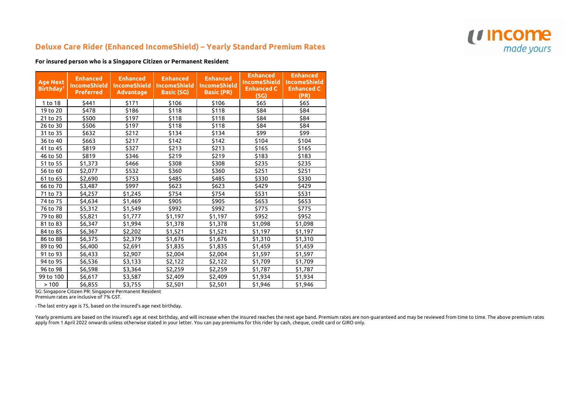## **Deluxe Care Rider (Enhanced IncomeShield) – Yearly Standard Premium Rates**

**For insured person who is a Singapore Citizen or Permanent Resident**

| <b>Age Next</b><br>Birthday <sup>1</sup> | <b>Enhanced</b><br><b>IncomeShield</b><br><b>Preferred</b> | <b>Enhanced</b><br><b>IncomeShield</b><br><b>Advantage</b> | <b>Enhanced</b><br><b>IncomeShield</b><br><b>Basic (SG)</b> | <b>Enhanced</b><br><b>IncomeShield</b><br><b>Basic (PR)</b> | <b>Enhanced</b><br><b>IncomeShield</b><br><b>Enhanced C</b><br>(SG) | <b>Enhanced</b><br><b>IncomeShield</b><br><b>Enhanced C</b><br>(PR) |
|------------------------------------------|------------------------------------------------------------|------------------------------------------------------------|-------------------------------------------------------------|-------------------------------------------------------------|---------------------------------------------------------------------|---------------------------------------------------------------------|
| 1 to 18                                  | \$441                                                      | \$171                                                      | \$106                                                       | \$106                                                       | \$65                                                                | \$65                                                                |
| 19 to 20                                 | \$478                                                      | \$186                                                      | \$118                                                       | \$118                                                       | \$84                                                                | \$84                                                                |
| 21 to 25                                 | \$500                                                      | \$197                                                      | \$118                                                       | \$118                                                       | \$84                                                                | \$84                                                                |
| 26 to 30                                 | \$506                                                      | \$197                                                      | \$118                                                       | \$118                                                       | \$84                                                                | \$84                                                                |
| 31 to 35                                 | \$632                                                      | \$212                                                      | \$134                                                       | \$134                                                       | \$99                                                                | \$99                                                                |
| 36 to 40                                 | \$663                                                      | \$217                                                      | \$142                                                       | \$142                                                       | \$104                                                               | \$104                                                               |
| 41 to 45                                 | \$819                                                      | \$327                                                      | \$213                                                       | \$213                                                       | \$165                                                               | \$165                                                               |
| 46 to 50                                 | \$819                                                      | \$346                                                      | \$219                                                       | \$219                                                       | \$183                                                               | \$183                                                               |
| 51 to 55                                 | \$1,373                                                    | \$466                                                      | \$308                                                       | \$308                                                       | \$235                                                               | \$235                                                               |
| 56 to 60                                 | \$2,077                                                    | \$532                                                      | \$360                                                       | \$360                                                       | \$251                                                               | \$251                                                               |
| 61 to 65                                 | \$2,690                                                    | \$753                                                      | \$485                                                       | \$485                                                       | \$330                                                               | \$330                                                               |
| 66 to 70                                 | \$3,487                                                    | \$997                                                      | \$623                                                       | \$623                                                       | \$429                                                               | \$429                                                               |
| 71 to 73                                 | \$4,257                                                    | \$1,245                                                    | \$754                                                       | \$754                                                       | \$531                                                               | \$531                                                               |
| 74 to 75                                 | \$4,634                                                    | \$1,469                                                    | \$905                                                       | \$905                                                       | \$653                                                               | \$653                                                               |
| 76 to 78                                 | \$5,312                                                    | \$1,549                                                    | \$992                                                       | \$992                                                       | \$775                                                               | \$775                                                               |
| 79 to 80                                 | \$5,821                                                    | \$1,777                                                    | \$1,197                                                     | \$1,197                                                     | \$952                                                               | \$952                                                               |
| 81 to 83                                 | \$6,347                                                    | \$1,994                                                    | \$1,378                                                     | \$1,378                                                     | \$1,098                                                             | \$1,098                                                             |
| 84 to 85                                 | \$6,367                                                    | \$2,202                                                    | \$1,521                                                     | \$1,521                                                     | \$1,197                                                             | \$1,197                                                             |
| 86 to 88                                 | \$6,375                                                    | \$2,379                                                    | \$1,676                                                     | \$1,676                                                     | \$1,310                                                             | \$1,310                                                             |
| 89 to 90                                 | \$6,400                                                    | \$2,691                                                    | \$1,835                                                     | \$1,835                                                     | \$1,459                                                             | \$1,459                                                             |
| 91 to 93                                 | \$6,433                                                    | \$2,907                                                    | \$2,004                                                     | \$2,004                                                     | \$1,597                                                             | \$1,597                                                             |
| 94 to 95                                 | \$6,536                                                    | \$3,133                                                    | \$2,122                                                     | \$2,122                                                     | \$1,709                                                             | \$1,709                                                             |
| 96 to 98                                 | \$6,598                                                    | \$3,364                                                    | \$2,259                                                     | \$2,259                                                     | \$1,787                                                             | \$1,787                                                             |
| 99 to 100                                | \$6,617                                                    | \$3,587                                                    | \$2,409                                                     | \$2,409                                                     | \$1,934                                                             | \$1,934                                                             |
| >100                                     | \$6,855                                                    | \$3,755                                                    | \$2,501                                                     | \$2,501                                                     | \$1,946                                                             | \$1,946                                                             |

SG: Singapore Citizen PR: Singapore Permanent Resident

Premium rates are inclusive of 7% GST.

1 The last entry age is 75, based on the insured's age next birthday.

Yearly premiums are based on the insured's age at next birthday, and will increase when the insured reaches the next age band. Premium rates are non-guaranteed and may be reviewed from time to time. The above premium rates apply from 1 April 2022 onwards unless otherwise stated in your letter. You can pay premiums for this rider by cash, cheque, credit card or GIRO only.